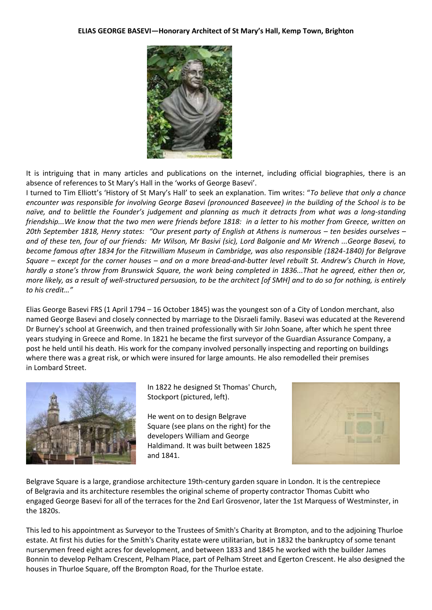## **ELIAS GEORGE BASEVI—Honorary Architect of St Mary's Hall, Kemp Town, Brighton**



It is intriguing that in many articles and publications on the internet, including official biographies, there is an absence of references to St Mary's Hall in the 'works of George Basevi'.

I turned to Tim Elliott's 'History of St Mary's Hall' to seek an explanation. Tim writes: "*To believe that only a chance encounter was responsible for involving George Basevi (pronounced Baseevee) in the building of the School is to be naïve, and to belittle the Founder's judgement and planning as much it detracts from what was a long-standing friendship...We know that the two men were friends before 1818: in a letter to his mother from Greece, written on 20th September 1818, Henry states: "Our present party of English at Athens is numerous – ten besides ourselves – and of these ten, four of our friends: Mr Wilson, Mr Basivi (sic), Lord Balgonie and Mr Wrench ...George Basevi, to become famous after 1834 for the Fitzwilliam Museum in Cambridge, was also responsible (1824-1840) for Belgrave Square – except for the corner houses – and on a more bread-and-butter level rebuilt St. Andrew's Church in Hove, hardly a stone's throw from Brunswick Square, the work being completed in 1836...That he agreed, either then or, more likely, as a result of well-structured persuasion, to be the architect [of SMH] and to do so for nothing, is entirely to his credit…"*

Elias George Basevi FRS (1 April 1794 – 16 October 1845) was the youngest son of a City of London merchant, also named George Basevi and closely connected by marriage to the Disraeli family. Basevi was educated at the Reverend Dr Burney's school at Greenwich, and then trained professionally with Sir John Soane, after which he spent three years studying in Greece and Rome. In 1821 he became the first surveyor of the Guardian Assurance Company, a post he held until his death. His work for the company involved personally inspecting and reporting on buildings where there was a great risk, or which were insured for large amounts. He also remodelled their premises in Lombard Street.



In 1822 he designed St Thomas' Church, Stockport (pictured, left).

He went on to design Belgrave Square (see plans on the right) for the developers William and George Haldimand. It was built between 1825 and 1841.



Belgrave Square is a large, grandiose architecture 19th-century garden square in London. It is the centrepiece of Belgravia and its architecture resembles the original scheme of property contractor Thomas Cubitt who engaged George Basevi for all of the terraces for the 2nd Earl Grosvenor, later the 1st Marquess of Westminster, in the 1820s.

This led to his appointment as Surveyor to the Trustees of Smith's Charity at Brompton, and to the adjoining Thurloe estate. At first his duties for the Smith's Charity estate were utilitarian, but in 1832 the bankruptcy of some tenant nurserymen freed eight acres for development, and between 1833 and 1845 he worked with the builder James Bonnin to develop Pelham Crescent, Pelham Place, part of Pelham Street and Egerton Crescent. He also designed the houses in Thurloe Square, off the Brompton Road, for the Thurloe estate.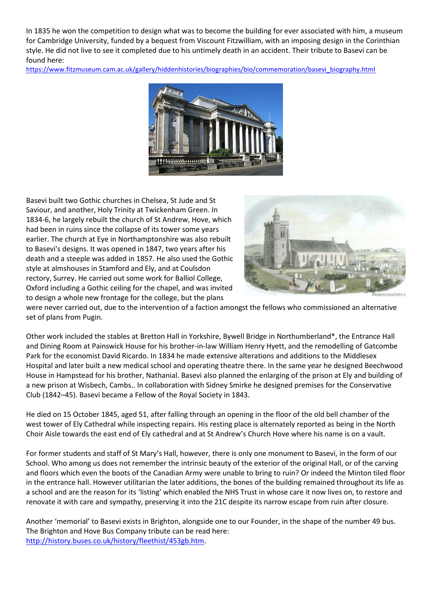In 1835 he won the competition to design what was to become the building for ever associated with him, a museum for Cambridge University, funded by a bequest from Viscount Fitzwilliam, with an imposing design in the Corinthian style. He did not live to see it completed due to his untimely death in an accident. Their tribute to Basevi can be found here:

[https://www.fitzmuseum.cam.ac.uk/gallery/hiddenhistories/biographies/bio/commemoration/basevi\\_biography.html](https://www.fitzmuseum.cam.ac.uk/gallery/hiddenhistories/biographies/bio/commemoration/basevi_biography.html)



Basevi built two Gothic churches in Chelsea, St Jude and St Saviour, and another, Holy Trinity at Twickenham Green. In 1834-6, he largely rebuilt the church of St Andrew, Hove, which had been in ruins since the collapse of its tower some years earlier. The church at Eye in Northamptonshire was also rebuilt to Basevi's designs. It was opened in 1847, two years after his death and a steeple was added in 1857. He also used the Gothic style at almshouses in Stamford and Ely, and at Coulsdon rectory, Surrey. He carried out some work for Balliol College, Oxford including a Gothic ceiling for the chapel, and was invited to design a whole new frontage for the college, but the plans



were never carried out, due to the intervention of a faction amongst the fellows who commissioned an alternative set of plans from Pugin.

Other work included the stables at Bretton Hall in Yorkshire, Bywell Bridge in Northumberland\*, the Entrance Hall and Dining Room at Painswick House for his brother-in-law William Henry Hyett, and the remodelling of Gatcombe Park for the economist David Ricardo. In 1834 he made extensive alterations and additions to the Middlesex Hospital and later built a new medical school and operating theatre there. In the same year he designed Beechwood House in Hampstead for his brother, Nathanial. Basevi also planned the enlarging of the prison at Ely and building of a new prison at Wisbech, Cambs.. In collaboration with Sidney Smirke he designed premises for the Conservative Club (1842–45). Basevi became a Fellow of the Royal Society in 1843.

He died on 15 October 1845, aged 51, after falling through an opening in the floor of the old bell chamber of the west tower of Ely Cathedral while inspecting repairs. His resting place is alternately reported as being in the North Choir Aisle towards the east end of Ely cathedral and at St Andrew's Church Hove where his name is on a vault.

For former students and staff of St Mary's Hall, however, there is only one monument to Basevi, in the form of our School. Who among us does not remember the intrinsic beauty of the exterior of the original Hall, or of the carving and floors which even the boots of the Canadian Army were unable to bring to ruin? Or indeed the Minton tiled floor in the entrance hall. However utilitarian the later additions, the bones of the building remained throughout its life as a school and are the reason for its 'listing' which enabled the NHS Trust in whose care it now lives on, to restore and renovate it with care and sympathy, preserving it into the 21C despite its narrow escape from ruin after closure.

Another 'memorial' to Basevi exists in Brighton, alongside one to our Founder, in the shape of the number 49 bus. The Brighton and Hove Bus Company tribute can be read here: [http://history.buses.co.uk/history/fleethist/453gb.htm.](http://history.buses.co.uk/history/fleethist/453gb.htm)